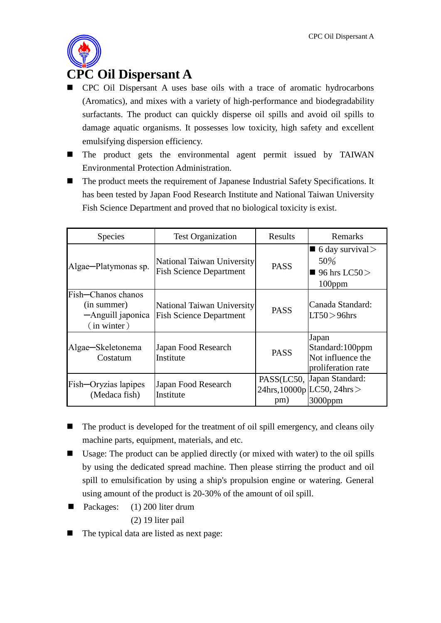

## **CPC Oil Dispersant A**

- CPC Oil Dispersant A uses base oils with a trace of aromatic hydrocarbons (Aromatics), and mixes with a variety of high-performance and biodegradability surfactants. The product can quickly disperse oil spills and avoid oil spills to damage aquatic organisms. It possesses low toxicity, high safety and excellent emulsifying dispersion efficiency.
- The product gets the environmental agent permit issued by TAIWAN Environmental Protection Administration.
- The product meets the requirement of Japanese Industrial Safety Specifications. It has been tested by Japan Food Research Institute and National Taiwan University Fish Science Department and proved that no biological toxicity is exist.

| <b>Species</b>                                                          | <b>Test Organization</b>                                     | Results           | Remarks                                                              |
|-------------------------------------------------------------------------|--------------------------------------------------------------|-------------------|----------------------------------------------------------------------|
| Algae-Platymonas sp.                                                    | National Taiwan University<br><b>Fish Science Department</b> | <b>PASS</b>       | 6 day survival $>$<br>50%<br>■ 96 hrs LC50 $>$<br>$100$ ppm          |
| Fish-Chanos chanos<br>(in summer)<br>-Anguill japonica<br>$(in$ winter) | National Taiwan University<br><b>Fish Science Department</b> | <b>PASS</b>       | Canada Standard:<br>$LT50 > 96$ hrs                                  |
| Algae-Skeletonema<br>Costatum                                           | Japan Food Research<br>Institute                             | <b>PASS</b>       | Japan<br>Standard: 100ppm<br>Not influence the<br>proliferation rate |
| Fish-Oryzias lapipes<br>(Medaca fish)                                   | Japan Food Research<br>Institute                             | PASS(LC50,<br>pm) | Japan Standard:<br>$24 hrs, 10000 p$ LC50, $24 hrs$<br>$3000$ ppm    |

- $\blacksquare$  The product is developed for the treatment of oil spill emergency, and cleans oily machine parts, equipment, materials, and etc.
- Usage: The product can be applied directly (or mixed with water) to the oil spills by using the dedicated spread machine. Then please stirring the product and oil spill to emulsification by using a ship's propulsion engine or watering. General using amount of the product is 20-30% of the amount of oil spill.
- Packages: (1) 200 liter drum (2) 19 liter pail
- The typical data are listed as next page: